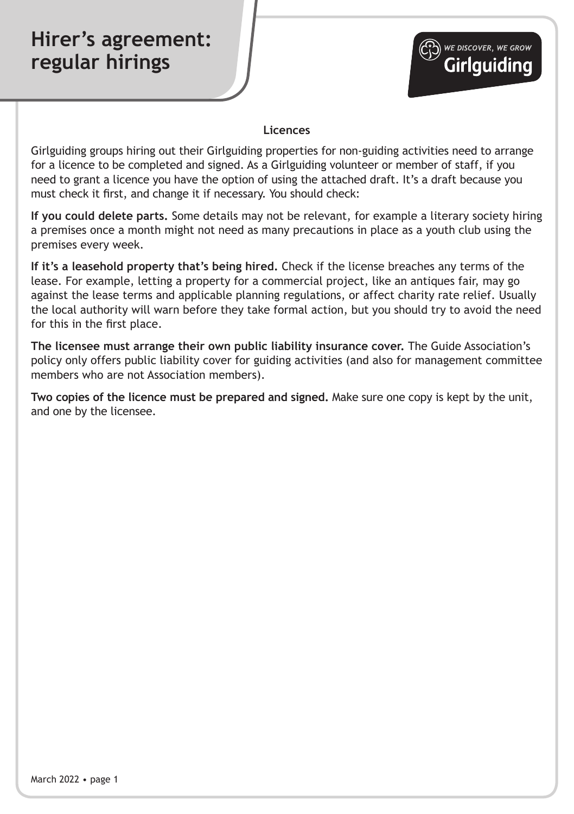## **Hirer's agreement: regular hirings**



## **Licences**

Girlguiding groups hiring out their Girlguiding properties for non-guiding activities need to arrange for a licence to be completed and signed. As a Girlguiding volunteer or member of staff, if you need to grant a licence you have the option of using the attached draft. It's a draft because you must check it first, and change it if necessary. You should check:

**If you could delete parts.** Some details may not be relevant, for example a literary society hiring a premises once a month might not need as many precautions in place as a youth club using the premises every week.

**If it's a leasehold property that's being hired.** Check if the license breaches any terms of the lease. For example, letting a property for a commercial project, like an antiques fair, may go against the lease terms and applicable planning regulations, or affect charity rate relief. Usually the local authority will warn before they take formal action, but you should try to avoid the need for this in the first place.

**The licensee must arrange their own public liability insurance cover.** The Guide Association's policy only offers public liability cover for guiding activities (and also for management committee members who are not Association members).

**Two copies of the licence must be prepared and signed.** Make sure one copy is kept by the unit, and one by the licensee.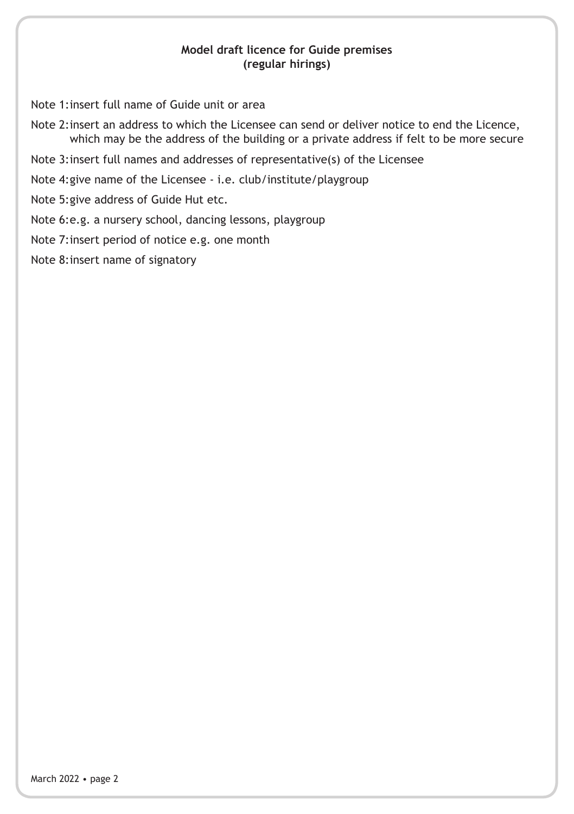## **Model draft licence for Guide premises (regular hirings)**

Note 1:insert full name of Guide unit or area

- Note 2:insert an address to which the Licensee can send or deliver notice to end the Licence, which may be the address of the building or a private address if felt to be more secure
- Note 3:insert full names and addresses of representative(s) of the Licensee

Note 4:give name of the Licensee - i.e. club/institute/playgroup

Note 5:give address of Guide Hut etc.

Note 6:e.g. a nursery school, dancing lessons, playgroup

Note 7:insert period of notice e.g. one month

Note 8:insert name of signatory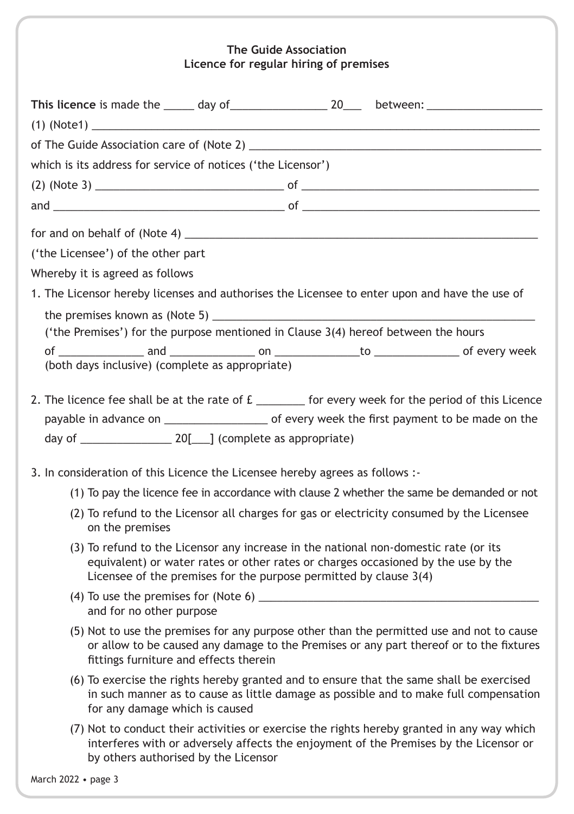## **The Guide Association Licence for regular hiring of premises**

| which is its address for service of notices ('the Licensor')                                                                                                                                                                                   |
|------------------------------------------------------------------------------------------------------------------------------------------------------------------------------------------------------------------------------------------------|
|                                                                                                                                                                                                                                                |
|                                                                                                                                                                                                                                                |
|                                                                                                                                                                                                                                                |
| ('the Licensee') of the other part                                                                                                                                                                                                             |
|                                                                                                                                                                                                                                                |
| Whereby it is agreed as follows<br>1. The Licensor hereby licenses and authorises the Licensee to enter upon and have the use of                                                                                                               |
|                                                                                                                                                                                                                                                |
| ('the Premises') for the purpose mentioned in Clause 3(4) hereof between the hours                                                                                                                                                             |
|                                                                                                                                                                                                                                                |
| (both days inclusive) (complete as appropriate)                                                                                                                                                                                                |
|                                                                                                                                                                                                                                                |
| 2. The licence fee shall be at the rate of £ _______ for every week for the period of this Licence                                                                                                                                             |
|                                                                                                                                                                                                                                                |
|                                                                                                                                                                                                                                                |
| 3. In consideration of this Licence the Licensee hereby agrees as follows :-                                                                                                                                                                   |
| (1) To pay the licence fee in accordance with clause 2 whether the same be demanded or not                                                                                                                                                     |
| (2) To refund to the Licensor all charges for gas or electricity consumed by the Licensee<br>on the premises                                                                                                                                   |
| (3) To refund to the Licensor any increase in the national non-domestic rate (or its<br>equivalent) or water rates or other rates or charges occasioned by the use by the<br>Licensee of the premises for the purpose permitted by clause 3(4) |
| and for no other purpose                                                                                                                                                                                                                       |
| (5) Not to use the premises for any purpose other than the permitted use and not to cause<br>or allow to be caused any damage to the Premises or any part thereof or to the fixtures<br>fittings furniture and effects therein                 |
| (6) To exercise the rights hereby granted and to ensure that the same shall be exercised<br>in such manner as to cause as little damage as possible and to make full compensation<br>for any damage which is caused                            |
| (7) Not to conduct their activities or exercise the rights hereby granted in any way which<br>interferes with or adversely affects the enjoyment of the Premises by the Licensor or<br>by others authorised by the Licensor                    |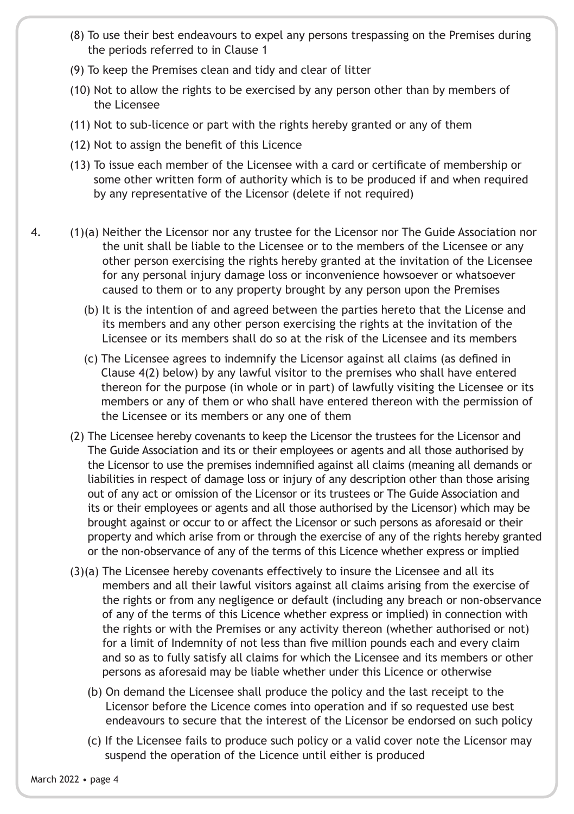- (8) To use their best endeavours to expel any persons trespassing on the Premises during the periods referred to in Clause 1
- (9) To keep the Premises clean and tidy and clear of litter
- (10) Not to allow the rights to be exercised by any person other than by members of the Licensee
- (11) Not to sub-licence or part with the rights hereby granted or any of them
- (12) Not to assign the benefit of this Licence
- (13) To issue each member of the Licensee with a card or certificate of membership or some other written form of authority which is to be produced if and when required by any representative of the Licensor (delete if not required)
- 4. (1)(a) Neither the Licensor nor any trustee for the Licensor nor The Guide Association nor the unit shall be liable to the Licensee or to the members of the Licensee or any other person exercising the rights hereby granted at the invitation of the Licensee for any personal injury damage loss or inconvenience howsoever or whatsoever caused to them or to any property brought by any person upon the Premises
	- (b) It is the intention of and agreed between the parties hereto that the License and its members and any other person exercising the rights at the invitation of the Licensee or its members shall do so at the risk of the Licensee and its members
	- (c) The Licensee agrees to indemnify the Licensor against all claims (as defined in Clause 4(2) below) by any lawful visitor to the premises who shall have entered thereon for the purpose (in whole or in part) of lawfully visiting the Licensee or its members or any of them or who shall have entered thereon with the permission of the Licensee or its members or any one of them
	- (2) The Licensee hereby covenants to keep the Licensor the trustees for the Licensor and The Guide Association and its or their employees or agents and all those authorised by the Licensor to use the premises indemnified against all claims (meaning all demands or liabilities in respect of damage loss or injury of any description other than those arising out of any act or omission of the Licensor or its trustees or The Guide Association and its or their employees or agents and all those authorised by the Licensor) which may be brought against or occur to or affect the Licensor or such persons as aforesaid or their property and which arise from or through the exercise of any of the rights hereby granted or the non-observance of any of the terms of this Licence whether express or implied
	- (3)(a) The Licensee hereby covenants effectively to insure the Licensee and all its members and all their lawful visitors against all claims arising from the exercise of the rights or from any negligence or default (including any breach or non-observance of any of the terms of this Licence whether express or implied) in connection with the rights or with the Premises or any activity thereon (whether authorised or not) for a limit of Indemnity of not less than five million pounds each and every claim and so as to fully satisfy all claims for which the Licensee and its members or other persons as aforesaid may be liable whether under this Licence or otherwise
		- (b) On demand the Licensee shall produce the policy and the last receipt to the Licensor before the Licence comes into operation and if so requested use best endeavours to secure that the interest of the Licensor be endorsed on such policy
		- (c) If the Licensee fails to produce such policy or a valid cover note the Licensor may suspend the operation of the Licence until either is produced